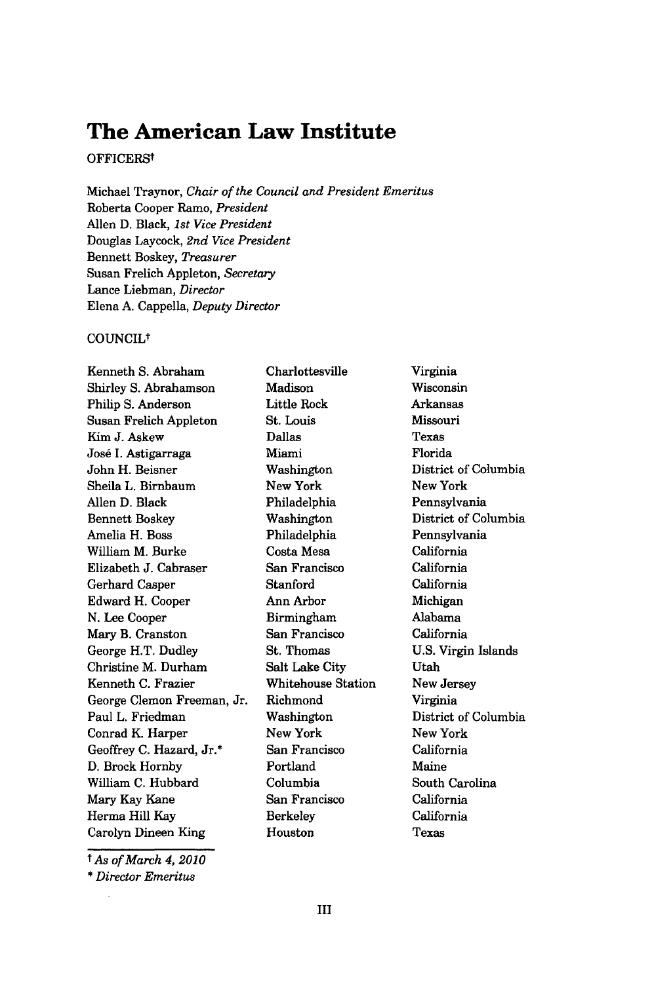# **The American Law Institute**

## OFFICERSt

Michael Traynor, *Chair of the Council and President Emeritus* Roberta Cooper Ramo, *President* Allen D. Black, *1st Vice President* Douglas Laycock, *2nd Vice President* Bennett Boskey, *Treasurer* Susan Frelich Appleton, *Secretary* Lance Liebman, *Director* Elena A. Cappella, *Deputy Director*

## COUNCILt

Kenneth S. Abraham Shirley S. Abrahamson Philip S. Anderson Susan Frelich Appleton Kim J. Askew Jose I. Astigarraga John H. Beisner Sheila L. Birnbaum Allen D. Black Bennett Boskey Amelia H. Boss William M. Burke Elizabeth J. Cabraser Gerhard Casper Edward H. Cooper N. Lee Cooper Mary B. Cranston George H.T. Dudley Christine M. Durham Kenneth C. Frazier George Clemon Freeman, Jr. Paul L. Friedman Conrad K. Harper Geoffrey C. Hazard, Jr.\* D. Brock Hornby William C. Hubbard Mary Kay Kane Herma Hill Kay Carolyn Dineen King

*t As of March 4, 2010*

\* *Director Emeritus*

Charlottesville Madison Little Rock St. Louis Dallas Miami Washington New York Philadelphia Washington Philadelphia Costa Mesa San Francisco Stanford Ann Arbor Birmingham San Francisco St. Thomas Salt Lake City Whitehouse Station Richmond Washington New York San Francisco Portland Columbia San Francisco Berkeley Houston

Virginia Wisconsin Arkansas Missouri Texas Florida District of Columbia New York Pennsylvania District of Columbia Pennsylvania California California California Michigan Alabama California U.S. Virgin Islands Utah New Jersey Virginia District of Columbia New York California Maine South Carolina California California Texas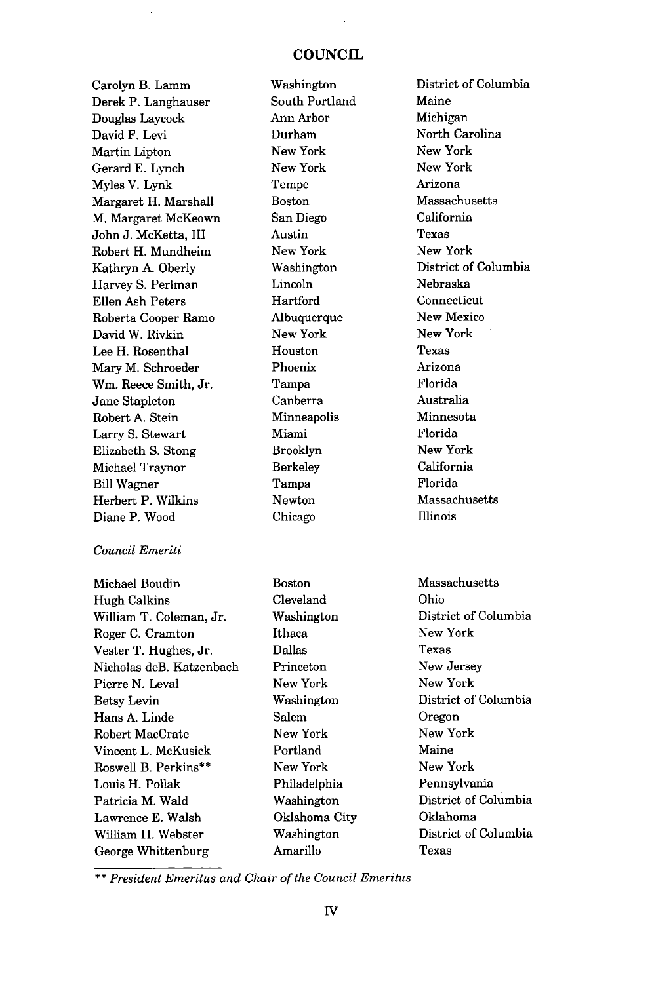## **COUNCIL**

Carolyn B. Lamm Derek P. Langhauser Douglas Laycock David F. Levi Martin Lipton Gerard E. Lynch Myles V. Lynk Margaret H. Marshall M. Margaret McKeown John J. McKetta, III Robert H. Mundheim Kathryn A. Oberly Harvey S. Perlman Ellen Ash Peters Roberta Cooper Ramo David W. Rivkin Lee H. Rosenthal Mary M. Schroeder Wm. Reece Smith, Jr. Jane Stapleton Robert A. Stein Larry S. Stewart Elizabeth S. Stong Michael Traynor Bill Wagner Herbert P. Wilkins Diane P. Wood

#### *Council Emeriti*

Michael Boudin Hugh Calkins William T. Coleman, Jr. Roger C. Cramton Vester T. Hughes, Jr. Nicholas deB. Katzenbach Pierre N. Leval Betsy Levin Hans A. Linde Robert MacCrate Vincent L. McKusick Roswell B. Perkins\*\* Louis H. Pollak Patricia M. Wald Lawrence E. Walsh William H. Webster George Whittenburg

Washington South Portland Ann Arbor Durham New York New York Tempe Boston San Diego Austin New York Washington Lincoln Hartford Albuquerque New York Houston Phoenix Tampa Canberra Minneapolis Miami Brooklyn Berkeley Tampa Newton Chicago

Boston Cleveland Washington Ithaca Dallas Princeton New York Washington Salem New York Portland New York Philadelphia Washington Oklahoma City Washington Amarillo

District of Columbia Maine Michigan North Carolina New York New York Arizona Massachusetts California Texas New York District of Columbia Nebraska Connecticut New Mexico New York Texas Arizona Florida Australia Minnesota Florida New York California Florida Massachusetts Illinois

Massachusetts Ohio District of Columbia New York Texas New Jersey New York District of Columbia Oregon New York Maine New York Pennsylvania District of Columbia Oklahoma District of Columbia Texas

\*\* *President Emeritus and Chair of the Council Emeritus*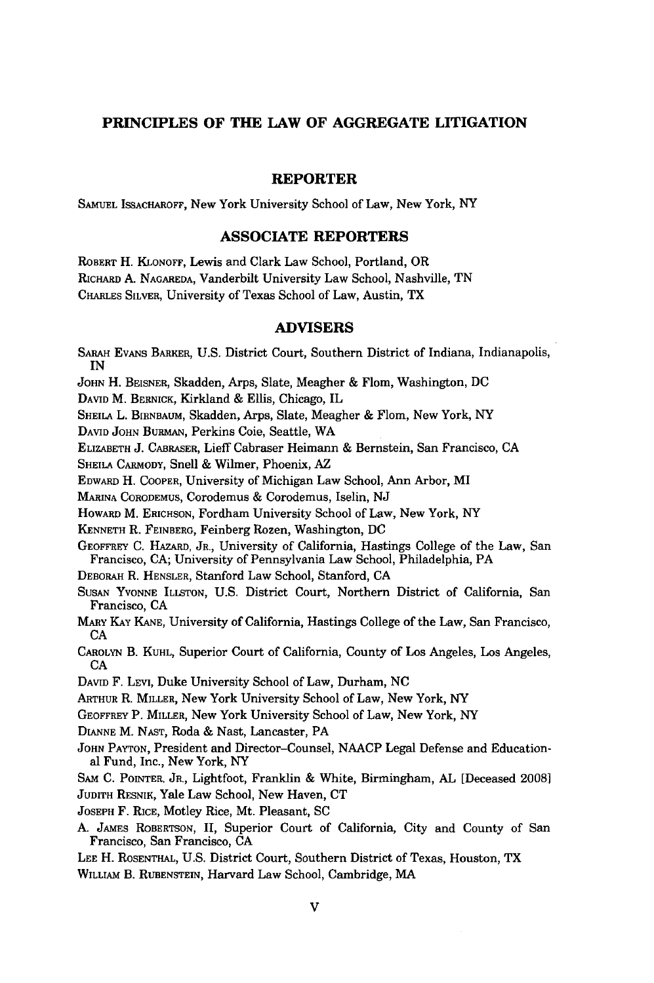# **PRINCIPLES OF THE LAW OF AGGREGATE LITIGATION**

### **REPORTER**

**SAMUEL** ISSACHAROFF, New York University School of Law, New York, NY

### **ASSOCIATE REPORTERS**

ROBERT H. KLONOFF, Lewis and Clark Law School, Portland, OR RICHARD A. **NAGAREDA,** Vanderbilt University Law School, Nashville, TN CHARLES SILVER, University of Texas School of Law, Austin, TX

#### **ADVISERS**

SABAH EVANS BARKER, **U.S.** District Court, Southern District of Indiana, Indianapolis, IN JOHN H. BEISNER, Skadden, Arps, Slate, Meagher & Flom, Washington, DC DAVID M. BERNICK, Kirkland & Ellis, Chicago, IL SHEILA L. BIRNBAUM, Skadden, Arps, Slate, Meagher & Flom, New York, NY DAVID **JOHN** BURMAN, Perkins Coie, Seattle, WA ELIZABETH **J.** CABRASER, Lieff Cabraser Heimann **&** Bernstein, San Francisco, CA SHEILA CARMODY, Snell **&** Wilmer, Phoenix, AZ EDwARD H. COOPER, University of Michigan Law School, Ann Arbor, MI MARINA CORODEMUS, Corodemus & Corodemus, Iselin, NJ HOwARD M. ERICHSON, Fordham University School of Law, New York, NY KENNETH R. FEINBERG, Feinberg Rozen, Washington, DC GEOFFREY C. HAZARD, JR., University of California, Hastings College of the Law, San Francisco, CA; University of Pennsylvania Law School, Philadelphia, PA DEBORAH R. HENSLER, Stanford Law School, Stanford, CA **SUSAN** YVONNE ILLSTON, U.S. District Court, Northern District of California, San Francisco, CA MARY KAY KANE, University of California, Hastings College of the Law, San Francisco, CA CAROLYN B. KUHL, Superior Court of California, County of Los Angeles, Los Angeles, CA **DAVID** F. LEVI, Duke University School of Law, Durham, NC ARTHUR R. MILLER, New York University School of Law, New York, NY GEOFFREY P. MILLER, New York University School of Law, New York, NY DIANNE M. **NAST,** Roda **&** Nast, Lancaster, PA **JOHN** PAYTON, President and Director-Counsel, NAACP Legal Defense and Educational Fund, Inc., New York, NY **SAM** C. POINTER, JR., Lightfoot, Franklin **&** White, Birmingham, AL [Deceased 2008] JUDITH RESNIK, Yale Law School, New Haven, CT JOSEPH F. RICE, Motley Rice, Mt. Pleasant, SC **A.** JAMES ROBERTSON, II, Superior Court of California, City and County of San Francisco, San Francisco, CA LEE H. ROSENTHAL, U.S. District Court, Southern District of Texas, Houston, TX WILLIAM B. RUBENSTEIN, Harvard Law School, Cambridge, MAv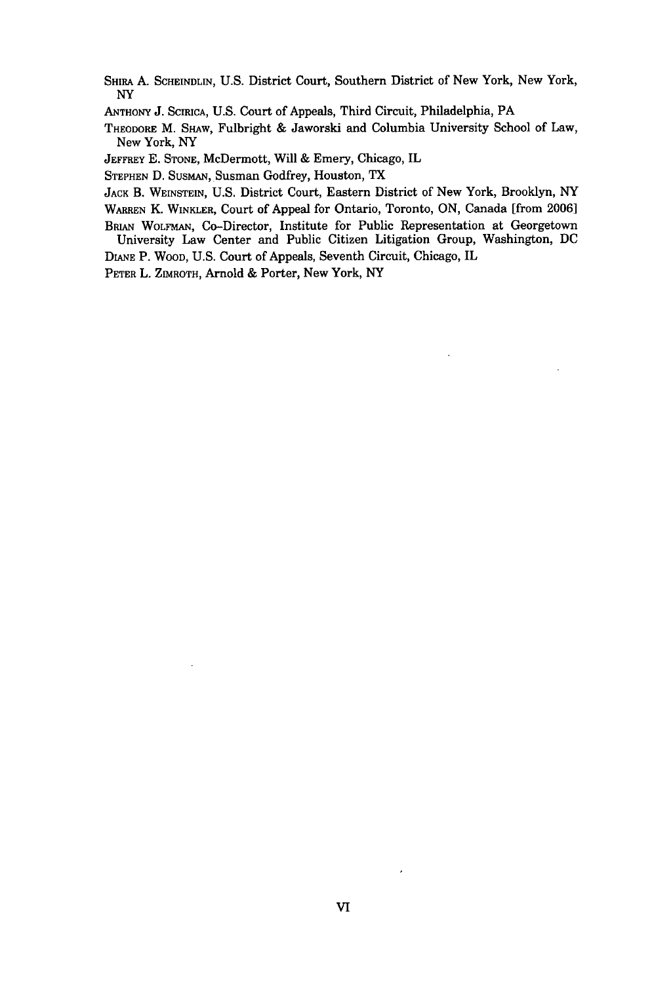- SHIRA A. SCHEINDLIN, U.S. District Court, Southern District of New York, New York, NY
- ANTHONY **J.** SCIRICA, **U.S.** Court of Appeals, Third Circuit, Philadelphia, PA

THEODORE M. SHAW, Fulbright & Jaworski and Columbia University School of Law, New York, NY

JEFFREY **E.** STONE, McDermott, Will & Emery, Chicago, IL

STEPHEN D. SUSMAN, Susman Godfrey, Houston, TX

JACK B. WEINSTEIN, **U.S.** District Court, Eastern District of New York, Brooklyn, NY

WARREN K. WINKLER, Court of Appeal for Ontario, Toronto, ON, Canada [from 2006]

BRIAN WOLFMAN, Co-Director, Institute for Public Representation at Georgetown University Law Center and Public Citizen Litigation Group, Washington, DC

DIANE P. WOOD, U.S. Court of Appeals, Seventh Circuit, Chicago, IL

PETER L. ZIMROTH, Arnold & Porter, New York, NY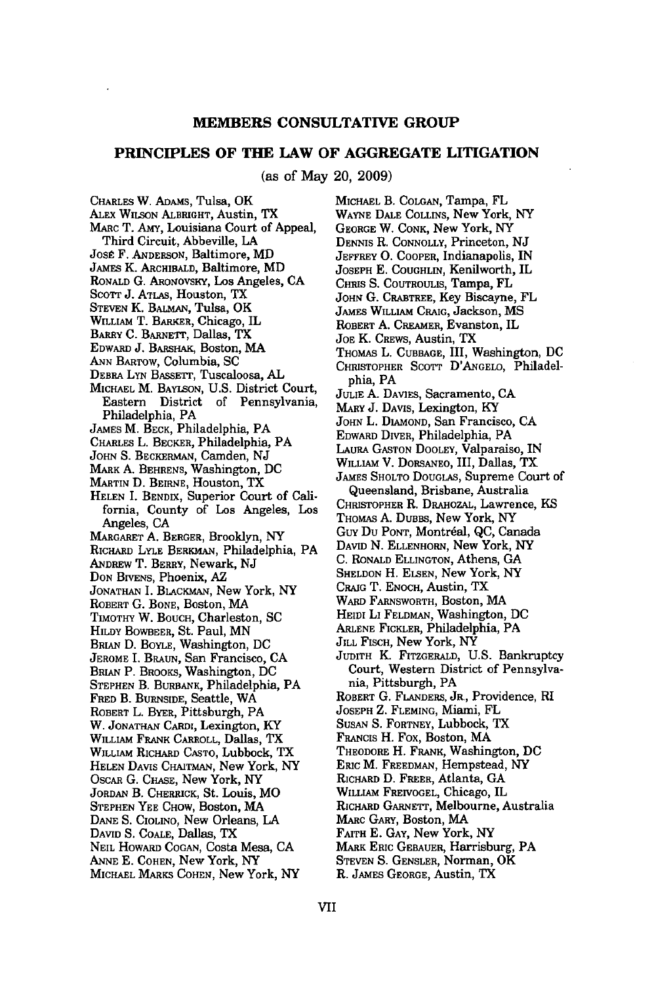#### **MEMBERS CONSULTATIVE GROUP**

#### **PRINCIPLES OF THE LAW OF AGGREGATE LITIGATION**

(as of May 20, **2009)**

CHARLES W. ADAMS, Tulsa, OK ALEx **WILSON** ALBRIGHT, Austin, TX MARC T. AMY, Louisiana Court of Appeal, Third Circuit, Abbeville, LA José F. ANDERSON, Baltimore, MD JAMES K. ARCHIBALD, Baltimore, MD RONALD G. ARoNovsKY, Los Angeles, **CA** SCOTT J. ATLAS, Houston, TX STEVEN K. BALmAN, Tulsa, OK WILLIAM T. BARKER, Chicago, IL BARRY **C.** BARNETT, Dallas, TX EDWARD **J.** BARSHAK, Boston, MA ANN BARTOW, Columbia, SC DEBRA **LYN** BASSErr, Tuscaloosa, AL MICHAEL M. BAYLSON, U.S. District Court, Eastern District of Pennsylvania, Philadelphia, PA JAMES M. BECK, Philadelphia, PA CHARLES L. BECKER, Philadelphia, PA JOHN **S.** BECKERMAN, Camden, **NJ** MARK **A.** BEHRENS, Washington, DC MARTIN D. BEIRNE, Houston, TX **HELEN I.** BENDIX, Superior Court of California, County of Los Angeles, Los Angeles, **CA** MARGARET **A.** BERGER, Brooklyn, NY RICHARD LYLE BERKMAN, Philadelphia, PA ANDREW T. BERRY, Newark, NJ **DON** BIVENS, Phoenix, AZ **JONATHAN** I. BLACKMAN, New York, **NY** ROBERT G. **BONE,** Boston, MA TIMOTHY W. BOUCH, Charleston, SC HILDY BOWBEER, St. Paul, MN BRIAN D. BOYLE, Washington, DC JEROME I. BRAUN, San Francisco, CA BRIAN P. BROOKS, Washington, DC STEPHEN B. **BURBANK,** Philadelphia, PA FRED B. BURNSIDE, Seattle, WA ROBERT L. BYER, Pittsburgh, PA W. JONATHAN CARDI, Lexington, KY WILLIAM FRANK CARROLL, Dallas, TX WILLIAM RICHARD CASTO, Lubbock, TX **HELEN** DAVIS CHAITMAN, New York, NY OSCAR **G. CHASE,** New York, NY JORDAN B. CHERRICK, St. Louis, MO **STEPHEN** YEE CHOW, Boston, MA **DANE S.** CIOLINO, New Orleans, **LA** DAVID **S.** COALE, Dallas, TX NEIL HowARD COGAN, Costa Mesa, CA **ANNE** E. COHEN, New York, NY MICHAEL MARKS COHEN, New York, NY

MICHAEL B. COLGAN, Tampa, FL WAYNE DALE CoLLINs, New York, NY GEORGE W. CONK, New York, NY DENNIS R. CONNOLLY, Princeton, NJ JEFFREY **0.** COOPER, Indianapolis, IN JOSEPH E. **COUGHLIN,** Kenilworth, IL CHRIS S. COUTROULIS, Tampa, FL JOHN **G.** CRABTREE, Key Biscayne, FL **JAMES** WILLIAM CRAIG, Jackson, MS ROBERT **A.** CREAMER, Evanston, IL JOE K. CREWS, Austin, TX THOMAS L. CUBBAGE, III, Washington, **DC** CHRISTOPHER SCOTT D'ANGELO, Philadelphia, PA JULIE A. DAVIES, Sacramento, CA MARY **J.** DAVIS, Lexington, KY **JOHN** L. DIAMOND, San Francisco, CA EDWARD DIVER, Philadelphia, PA LAURA GASTON DOOLEY, Valparaiso, IN WILLIAM V. DORSANEO, III, Dallas, TX JAMES SHOLTO DOUGLAS, Supreme Court of Queensland, Brisbane, Australia CHRISTOPHER R. DRAmozAL, Lawrence, KS THOMAS A. DuBBs, New York, NY Guy Du PONT, Montreal, QC, Canada DAVID **N.** ELLENHORN, New York, NY **C.** RONALD ELLINGTON, Athens, **GA** SHELDON H. ELSEN, New York, NY CRAIG T. ENOCH, Austin, TX WARD FARNSWORTH, Boston, MA HEIDI LI FELDMAN, Washington, DC ARLENE FICKLER, Philadelphia, PA JILL FISCH, New York, NY JUDITH K. FITZGERALD, U.S. Bankruptcy Court, Western District of Pennsylvania, Pittsburgh, PA ROBERT G. FLANDERS, JR., Providence, RI JOSEPH Z. FLEMING, Miami, FL SUSAN S. FORTNEY, Lubbock, TX FRANCIS H. Fox, Boston, MA THEODORE H. FRANK, Washington, DC ERIC M. FREEDMAN, Hempstead, NY RICHARD D. FREER, Atlanta, GA WILLIAM FREIVOGEL, Chicago, IL RICHARD GARNETT, Melbourne, Australia MARC GARY, Boston, MA FAITH E. GAY, New York, NY MARK ERIC GEBAUER, Harrisburg, PA STEVEN S. GENSLER, Norman, OK R. JAMES GEORGE, Austin, TX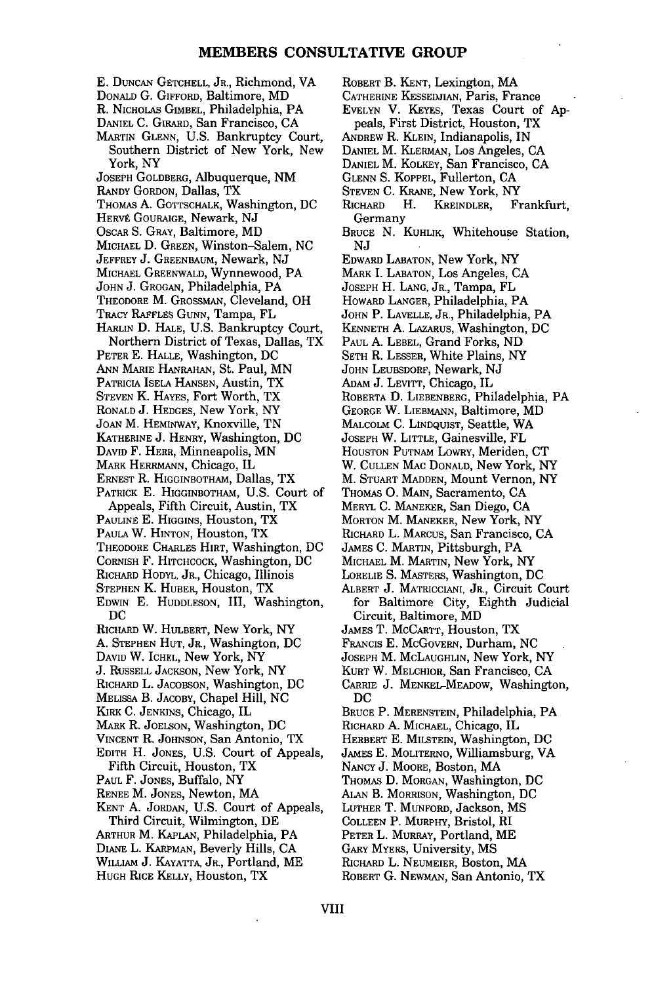- E. DUNCAN GETCHELL, JR., Richmond, VA
- DONALD G. GIFFORD, Baltimore, MD
- R. NICHOLAS GIMBEL, Philadelphia, PA
- DANIEL C. GIRARD, San Francisco, CA
- MARTIN GLENN, U.S. Bankruptcy Court, Southern District of New York, New York, NY
- JOSEPH GOLDBERG, Albuquerque, NM
- RANDY GORDON, Dallas, TX
- THOMAS A. GOTTSCHALK, Washington, DC
- HERVÉ GOURAIGE, Newark, NJ
- OsCAR S. GRAY, Baltimore, MD
- **MICHAEL** D. GREEN, Winston-Salem, NC
- JEFFREY J. GREENBAUM, Newark, NJ MICHAEL GREENWALD, Wynnewood, PA
- 
- JOHN J. GROGAN, Philadelphia, PA
- THEODORE M. GROSSMAN, Cleveland, OH
- **TRACY** RAFFLES **GUNN,** Tampa, FL
- HARLIN D. HALE, U.S. Bankruptcy Court, Northern District of Texas, Dallas, TX
- PETER E. HALLE, Washington, DC
- 
- ANN MARIE HANRAHAN, St. Paul, MN
- PATRICIA ISELA HANSEN, Austin, TX STEVEN K. HAYES, Fort Worth, TX
- RONALD **J.** HEDGES, New York, NY
- 
- JOAN M. HEMINWAY, Knoxville, TN KATHERINE J. HENRY, Washington, DC
- DAVID F. HERR, Minneapolis, MN
- MARK HERRMANN, Chicago, IL
- ERNEST R. HIGGINBOTHAM, Dallas, TX
- 
- PATRICK E. HIGGINBOTHAM, U.S. Court of Appeals, Fifth Circuit, Austin, TX
- PAULINE E. **HIGGINS,** Houston, TX
- PAULA W. HINTON, Houston, TX
- THEODORE CHARLES HIRT, Washington, DC
- CORNISH F. HITCHCOCK, Washington, DC
- RICHARD HODYL, JR., Chicago, Illinois
- STEPHEN K. HUBER, Houston, TX
- EDWIN E. HUDDLESON, III, Washington, DC
- RICHARD W. HULBERT, New York, NY
- **A.** STEPHEN HUT, JR., Washington, DC
- DAVID W. ICHEL, New York, NY
- J. RUSSELL JACKSON, New York, NY
- RICHARD L. JACOBSON, Washington, DC
- MELISSA B. JACOBY, Chapel Hill, NC
- KIRK C. JENKINS, Chicago, IL
- MARK R. JOELSON, Washington, DC
- VINCENT R. JOHNSON, San Antonio, TX
- EDITH H. JONES, **U.S.** Court of Appeals, Fifth Circuit, Houston, TX
- PAUL F. JONES, Buffalo, NY
- RENEE M. JONES, Newton, MA
- KENT A. JORDAN, U.S. Court of Appeals, Third Circuit, Wilmington, DE
- ARTHUR M. KAPLAN, Philadelphia, PA
- DIANE L. KARPMAN, Beverly Hills, CA
- 
- WILLIAM **J. KAYATTA, JR., Portland, ME**<br>Hugh Rice Kelly, Houston, TX
- ROBERT B. KENT, Lexington, MA CATHERINE KESSEDJIAN, Paris, France
- 
- EVELYN V. KEYES, Texas Court of Appeals, First District, Houston, TX
- ANDREW R. KLEIN, Indianapolis, IN
- DANIEL M. KLERMAN, Los Angeles, CA
- DANIEL M. KOLKEY, San Francisco, CA
- GLENN S. KOPPEL, Fullerton, CA
- STEVEN **C.** KRANE, New York, NY
- RICHARD H. KREINDLER, Frankfurt, Germany
- BRUCE **N.** KUHLIK, Whitehouse Station, NJ
- EDWARD LABATON, New York, NY
- MARK I. LABATON, Los Angeles, CA
- JOSEPH H. LANG, JR., Tampa, FL
- HOWARD LANGER, Philadelphia, PA
- JOHN P. LAVELLE, JR., Philadelphia, PA
- KENNETH **A.** LAZARUS, Washington, DC
- PAUL A. LEBEL, Grand Forks, ND
- SETH R. LESSER, White Plains, NY
- **JOHN** LEUBSDORF, Newark, NJ
- ADAM J. LEVITT, Chicago, IL
- 
- ROBERTA **D.** LIEBENBERG, Philadelphia, PA
- GEORGE W. LIEBMANN, Baltimore, MD MALCOLM C. LINDQUIST, Seattle, WA
- 
- JOSEPH W. LITTLE, Gainesville, FL<br>HOUSTON PUTNAM LOWRY, Meriden, CT
- 
- W. CULLEN MAC DONALD, New York, NY
- M. STUART MADDEN, Mount Vernon, NY
- THOMAS **0.** MAIN, Sacramento, CA
- MERYL **C.** MANEKER, San Diego, CA
- MORTON M. MANEKER, New York, NY
- RICHARD L. MARCUS, San Francisco, CA
- JAMES C. MARTIN, Pittsburgh, PA
- MICHAEL M. MARTIN, New York, NY
- LORELIE S. MASTERS, Washington, DC
- ALBERT **J.** MATRICCIANI, JR., Circuit Court for Baltimore City, Eighth Judicial Circuit, Baltimore, MD
- JAMES T. McCARTT, Houston, TX
- FRANCIS E. McGovERN, Durham, NC
- JOSEPH M. McLAUGHLIN, New York, NY
- KURT W. MELCHIOR, San Francisco, CA
- CARRIE **J.** MENKEL-MEADOW, Washington, DC
- BRUCE P. MERENSTEIN, Philadelphia, PA
- RICHARD **A.** MICHAEL, Chicago, IL

ALAN B. MORRISON, Washington, DC LUTHER T. MUNFORD, Jackson, MS COLLEEN P. MURPHY, Bristol, RI PETER L. MURRAY, Portland, ME GARY MYERS, University, MS RICHARD L. NEUMEIER, Boston, MA ROBERT **G. NEWMAN,** San Antonio, TX

- HERBERT E. MILSTEIN, Washington, DC
- JAMES E. MOLITERNO, Williamsburg, VA THOMAS **D.** MORGAN, Washington, DC
- NANCY J. MOORE, Boston, MA

VIII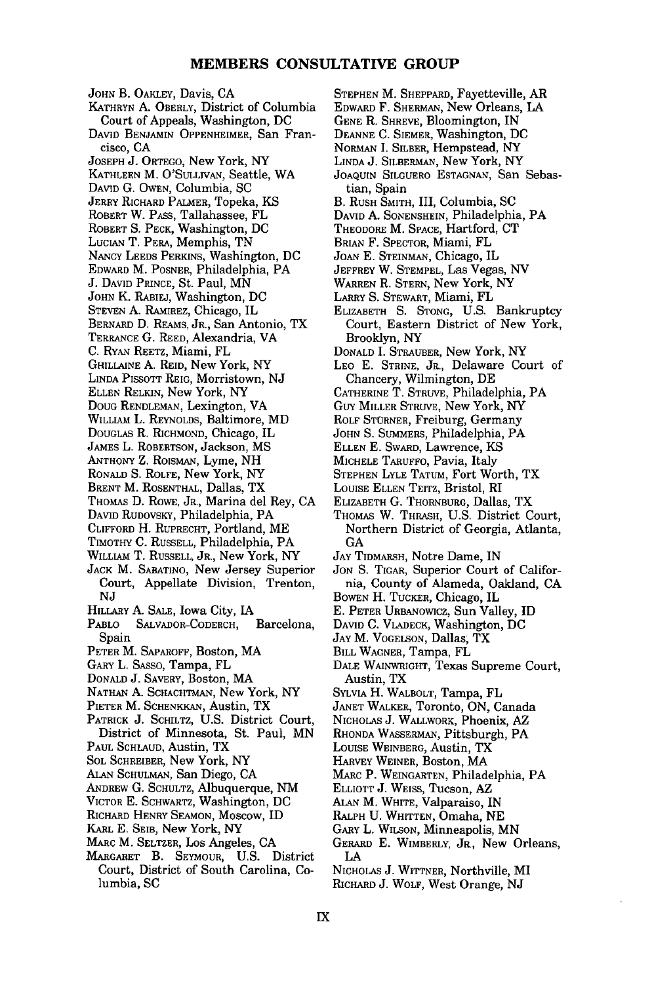#### **MEMBERS CONSULTATIVE GROUP**

JOHN B. OAKLEY, Davis, CA KATHRYN **A.** OBERLY, District of Columbia Court of Appeals, Washington, **DC** DAVID BENJAMIN OPPENHEIMER, San Francisco, CA JOSEPH **J.** ORTEGO, New York, NY KATHLEEN M. **O'SULLIVAN,** Seattle, WA **DAVID** G. OWEN, Columbia, SC JERRY RICHARD PALMER, Topeka, KS ROBERT W. PASS, Tallahassee, FL ROBERT S. PECK, Washington, DC LucIAN T. PERA, Memphis, TN NANCY **LEEDS** PERKINS, Washington, DC EDWARD M. POSNER, Philadelphia, PA J. **DAVID** PRINCE, St. Paul, MN JOHN K. RABIEJ, Washington, DC STEVEN A. RAMIREZ, Chicago, IL BERNARD D. REAMS, JR., San Antonio, TX TERRANCE **G.** REED, Alexandria, VA **C.** RYAN REETZ, Miami, FL GHILLAINE A. REID, New York, NY LINDA PIssoTT REIG, Morristown, NJ ELLEN RELKIN, New York, NY DOUG RENDLEMAN, Lexington, VA WILLIAM **L.** REYNOLDS, Baltimore, MD DOUGLAS R. RICHMOND, Chicago, IL JAMES L. ROBERTSON, Jackson, MS ANTHONY Z. ROiSMAN, Lyme, NH RONALD S. ROLFE, New York, NY BRENT M. ROSENTHAL, Dallas, TX THOMAS D. ROWE, JR., Marina del Rey, CA DAVID RUDOVSKY, Philadelphia, PA CLIFFORD H. RUPRECHT, Portland, ME TIMOTHY **C.** RUSSELL, Philadelphia, PA WILLIAM T. **RUSSELL, JR.,** New York, NY **JACK** M. **SABATINO,** New Jersey Superior Court, Appellate Division, Trenton, **NJ** HILLARY **A. SALE,** Iowa City, IA PABLO SALVADOR-CODERCH, Barcelona, Spain PETER M. SAPAROFF, Boston, MA GARY L. SASSO, Tampa, FL DONALD J. SAVERY, Boston, MA NATHAN **A.** SCHACHTMAN, New York, NY PIETER M. SCHENKKAN, Austin, TX PATRICK **J.** SCHILTZ, **U.S.** District Court, District of Minnesota, St. Paul, MN **PAUL** SCHLAUD, Austin, TX SOL SCHREIBER, New York, NY ALAN SCHULMAN, San Diego, CA ANDREW **G.** SCHULTZ, Albuquerque, NM VICTOR E. SCHWARTZ, Washington, DC RICHARD HENRY SEAMON, Moscow, ID KARL E. SEIB, New York, NY MARC M. SELTZER, Los Angeles, CA MARGARET B. SEYMOUR, **U.S.** District Court, District of South Carolina, Columbia, SC

**STEPHEN** M. SHEPPARD, Fayetteville, AR

- EDWARD F. SHERMAN, New Orleans, **LA**
- GENE R. SHREVE, Bloomington, IN
- DEANNE **C.** SIEMER, Washington, **DC**
- NORMAN I. SILBER, Hempstead, NY
- LINDA **J.** SILBERMAN, New York, NY
- JOAQUIN SILGUERO ESTAGNAN, San Sebastian, Spain
- B. RUSH SMITH, III, Columbia, SC
- DAVID **A.** SONENSHEIN, Philadelphia, PA
- THEODORE M. SPACE, Hartford, CT
- BRIAN F. SPECTOR, Miami, FL
- JOAN E. STEINMAN, Chicago, IL
- JEFFREY W. STEMPEL, Las Vegas, NV
- WARREN R. STERN, New York, NY
- LARRY S. STEWART, Miami, FL
- ELIZABETH **S. STONG,** U.S. Bankruptcy Court, Eastern District of New York, Brooklyn, NY
- DONALD I. STRAUBER, New York, NY
- LEO E. STRINE, JR., Delaware Court of Chancery, Wilmington, DE
- CATHERINE T. STRUVE, Philadelphia, PA
- **Guy** MILLER STRUVE, New York, NY
- ROLF STORNER, Freiburg, Germany
- JOHN S. SUMMERS, Philadelphia, PA
- ELLEN E. SWARD, Lawrence, KS
- MICHELE TARUFFO, Pavia, Italy
- STEPHEN LYLE TATUM, Fort Worth, TX
- LOUISE ELLEN TEITZ, Bristol, RI
- ELIZABETH G. THORNBURG, Dallas, TX
- THOMAS W. THRASH, U.S. District Court, Northern District of Georgia, Atlanta, GA
- JAY TIDMARSH, Notre Dame, IN
- JON **S.** TIGAR, Superior Court of California, County of Alameda, Oakland, CA
- BOWEN H. TUCKER, Chicago, IL
- E. PETER URBANOWICZ, Sun Valley, **ID**
- DAVID C. VLADECK, Washington, DC
- **JAY** M. VOGELSON, Dallas, TX
- BILL WAGNER, Tampa, FL
- DALE WAINWRIGHT, Texas Supreme Court, Austin, TX
- SYLVIA H. WALBOLT, Tampa, FL
- JANET WALKER, Toronto, ON, Canada
- NICHOLAS **J.** WALLWORK, Phoenix, AZ
- RHONDA WASSERMAN, Pittsburgh, PA
- LOUISE WEINBERG, Austin, TX
- HARVEY WEINER, Boston, MA
- MARC P. WEINGARTEN, Philadelphia, PA
- ELLIOTT **J.** WEISS, Tucson, AZ
- ALAN M. WHITE, Valparaiso, IN
- RALPH U. WHITTEN, Omaha, NE
- GARY L. WILSON, Minneapolis, MN
- GERARD E. WIMBERLY, JR., New Orleans, LA
- NICHOLAS **J.** WITTNER, Northville, MI
- RICHARD **J.** WOLF, West Orange, NJ